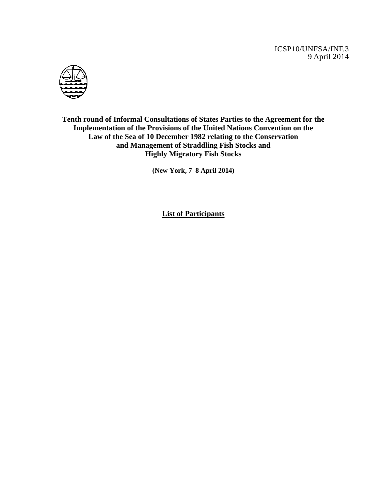ICSP10/UNFSA/INF.3 9 April 2014



**Tenth round of Informal Consultations of States Parties to the Agreement for the Implementation of the Provisions of the United Nations Convention on the Law of the Sea of 10 December 1982 relating to the Conservation and Management of Straddling Fish Stocks and Highly Migratory Fish Stocks** 

**(New York, 7–8 April 2014)** 

**List of Participants**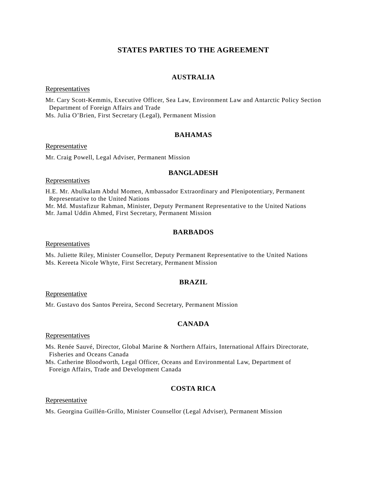# **STATES PARTIES TO THE AGREEMENT**

## **AUSTRALIA**

#### **Representatives**

Mr. Cary Scott-Kemmis, Executive Officer, Sea Law, Environment Law and Antarctic Policy Section Department of Foreign Affairs and Trade

Ms. Julia O'Brien, First Secretary (Legal), Permanent Mission

### **BAHAMAS**

#### Representative

Mr. Craig Powell, Legal Adviser, Permanent Mission

### **BANGLADESH**

### Representatives

H.E. Mr. Abulkalam Abdul Momen, Ambassador Extraordinary and Plenipotentiary, Permanent Representative to the United Nations

Mr. Md. Mustafizur Rahman, Minister, Deputy Permanent Representative to the United Nations Mr. Jamal Uddin Ahmed, First Secretary, Permanent Mission

## **BARBADOS**

### Representatives

Ms. Juliette Riley, Minister Counsellor, Deputy Permanent Representative to the United Nations Ms. Kereeta Nicole Whyte, First Secretary, Permanent Mission

### **BRAZIL**

**Representative** 

Mr. Gustavo dos Santos Pereira, Second Secretary, Permanent Mission

# **CANADA**

#### **Representatives**

Ms. Renée Sauvé, Director, Global Marine & Northern Affairs, International Affairs Directorate, Fisheries and Oceans Canada

Ms. Catherine Bloodworth, Legal Officer, Oceans and Environmental Law, Department of Foreign Affairs, Trade and Development Canada

## **COSTA RICA**

Representative

Ms. Georgina Guillén-Grillo, Minister Counsellor (Legal Adviser), Permanent Mission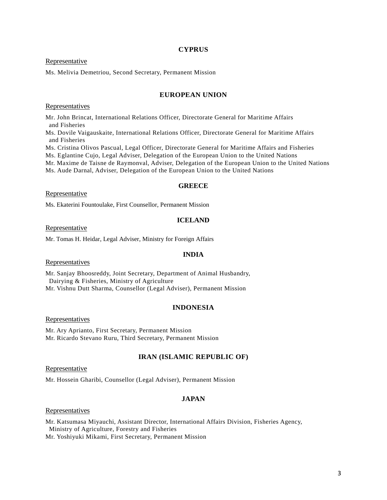### **CYPRUS**

### Representative

Ms. Melivia Demetriou, Second Secretary, Permanent Mission

### **EUROPEAN UNION**

Representatives

Mr. John Brincat, International Relations Officer, Directorate General for Maritime Affairs and Fisheries

Ms. Dovile Vaigauskaite, International Relations Officer, Directorate General for Maritime Affairs and Fisheries

Ms. Cristina Olivos Pascual, Legal Officer, Directorate General for Maritime Affairs and Fisheries

Ms. Eglantine Cujo, Legal Adviser, Delegation of the European Union to the United Nations

Mr. Maxime de Taisne de Raymonval, Adviser, Delegation of the European Union to the United Nations

Ms. Aude Darnal, Adviser, Delegation of the European Union to the United Nations

### **GREECE**

#### Representative

Ms. Ekaterini Fountoulake, First Counsellor, Permanent Mission

### **ICELAND**

**Representative** 

Mr. Tomas H. Heidar, Legal Adviser, Ministry for Foreign Affairs

#### **INDIA**

**Representatives** 

Mr. Sanjay Bhoosreddy, Joint Secretary, Department of Animal Husbandry, Dairying & Fisheries, Ministry of Agriculture Mr. Vishnu Dutt Sharma, Counsellor (Legal Adviser), Permanent Mission

#### **INDONESIA**

**Representatives** 

Mr. Ary Aprianto, First Secretary, Permanent Mission Mr. Ricardo Stevano Ruru, Third Secretary, Permanent Mission

### **IRAN (ISLAMIC REPUBLIC OF)**

### Representative

Mr. Hossein Gharibi, Counsellor (Legal Adviser), Permanent Mission

### **JAPAN**

### Representatives

Mr. Katsumasa Miyauchi, Assistant Director, International Affairs Division, Fisheries Agency, Ministry of Agriculture, Forestry and Fisheries

Mr. Yoshiyuki Mikami, First Secretary, Permanent Mission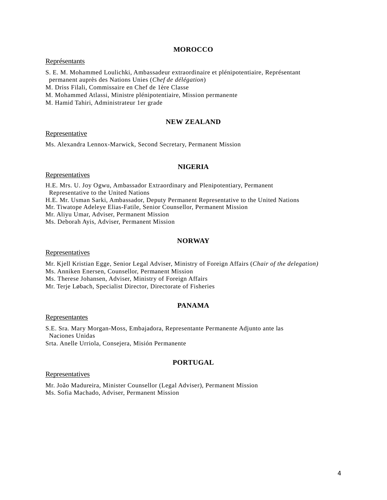#### **MOROCCO**

### Représentants

S. E. M. Mohammed Loulichki, Ambassadeur extraordinaire et plénipotentiaire, Représentant permanent auprès des Nations Unies (*Chef de délégation*)

M. Driss Filali, Commissaire en Chef de 1ère Classe

M. Mohammed Atlassi, Ministre plénipotentiaire, Mission permanente

M. Hamid Tahiri, Administrateur 1er grade

### **NEW ZEALAND**

### **Representative**

Ms. Alexandra Lennox-Marwick, Second Secretary, Permanent Mission

## **NIGERIA**

#### **Representatives**

H.E. Mrs. U. Joy Ogwu, Ambassador Extraordinary and Plenipotentiary, Permanent Representative to the United Nations H.E. Mr. Usman Sarki, Ambassador, Deputy Permanent Representative to the United Nations Mr. Tiwatope Adeleye Elias-Fatile, Senior Counsellor, Permanent Mission Mr. Aliyu Umar, Adviser, Permanent Mission Ms. Deborah Ayis, Adviser, Permanent Mission

## **NORWAY**

#### **Representatives**

Mr. Kjell Kristian Egge, Senior Legal Adviser, Ministry of Foreign Affairs (*Chair of the delegation)* Ms. Anniken Enersen, Counsellor, Permanent Mission

Ms. Therese Johansen, Adviser, Ministry of Foreign Affairs

Mr. Terje Løbach, Specialist Director, Directorate of Fisheries

## **PANAMA**

#### Representantes

S.E. Sra. Mary Morgan-Moss, Embajadora, Representante Permanente Adjunto ante las Naciones Unidas Srta. Anelle Urriola, Consejera, Misión Permanente

### **PORTUGAL**

#### **Representatives**

Mr. João Madureira, Minister Counsellor (Legal Adviser), Permanent Mission Ms. Sofia Machado, Adviser, Permanent Mission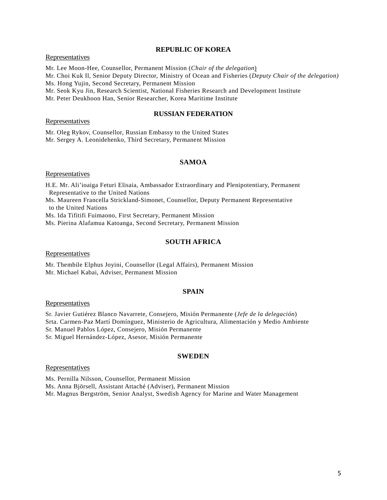### **REPUBLIC OF KOREA**

Representatives

Mr. Lee Moon-Hee, Counsellor, Permanent Mission (*Chair of the delegation*)

Mr. Choi Kuk Il, Senior Deputy Director, Ministry of Ocean and Fisheries (*Deputy Chair of the delegation)*

Ms. Hong Yujin, Second Secretary, Permanent Mission

Mr. Seok Kyu Jin, Research Scientist, National Fisheries Research and Development Institute

Mr. Peter Deukhoon Han, Senior Researcher, Korea Maritime Institute

#### **RUSSIAN FEDERATION**

### **Representatives**

Mr. Oleg Rykov, Counsellor, Russian Embassy to the United States Mr. Sergey A. Leonidehenko, Third Secretary, Permanent Mission

### **SAMOA**

**Representatives** 

H.E. Mr. Ali'ioaiga Feturi Elisaia, Ambassador Extraordinary and Plenipotentiary, Permanent Representative to the United Nations

Ms. Maureen Francella Strickland-Simonet, Counsellor, Deputy Permanent Representative to the United Nations

Ms. Ida Tifitifi Fuimaono, First Secretary, Permanent Mission

Ms. Pierina Alafamua Katoanga, Second Secretary, Permanent Mission

### **SOUTH AFRICA**

Representatives

Mr. Thembile Elphus Joyini, Counsellor (Legal Affairs), Permanent Mission Mr. Michael Kabai, Adviser, Permanent Mission

### **SPAIN**

Representatives

Sr. Javier Gutiérez Blanco Navarrete, Consejero, Misión Permanente (*Jefe de la delegación*) Srta. Carmen-Paƶ Martí Domínguez, Ministerio de Agricultura, Alimentación y Medio Ambiente Sr. Manuel Pablos López, Consejero, Misión Permanente Sr. Miguel Hernández-López, Asesor, Misión Permanente

### **SWEDEN**

#### Representatives

Ms. Pernilla Nilsson, Counsellor, Permanent Mission

Ms. Anna Björsell, Assistant Attaché (Adviser), Permanent Mission

Mr. Magnus Bergström, Senior Analyst, Swedish Agency for Marine and Water Management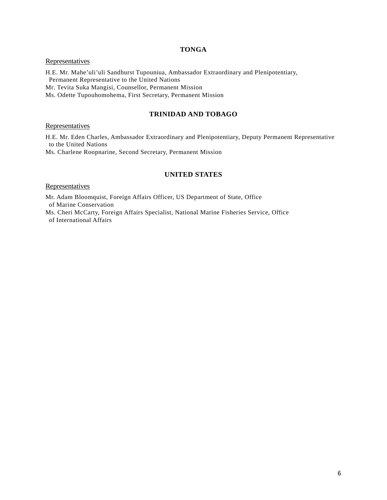# **TONGA**

## **Representatives**

H.E. Mr. Mahe'uli'uli Sandhurst Tupouniua, Ambassador Extraordinary and Plenipotentiary, Permanent Representative to the United Nations

Mr. Tevita Suka Mangisi, Counsellor, Permanent Mission

Ms. Odette Tupouhomohema, First Secretary, Permanent Mission

### **TRINIDAD AND TOBAGO**

## **Representatives**

H.E. Mr. Eden Charles, Ambassador Extraordinary and Plenipotentiary, Deputy Permanent Representative to the United Nations

Ms. Charlene Roopnarine, Second Secretary, Permanent Mission

## **UNITED STATES**

#### **Representatives**

Mr. Adam Bloomquist, Foreign Affairs Officer, US Department of State, Office of Marine Conservation

Ms. Cheri McCarty, Foreign Affairs Specialist, National Marine Fisheries Service, Office of International Affairs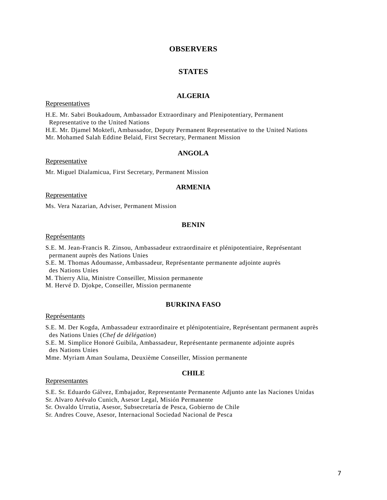## **OBSERVERS**

### **STATES**

### **ALGERIA**

### **Representatives**

H.E. Mr. Sabri Boukadoum, Ambassador Extraordinary and Plenipotentiary, Permanent Representative to the United Nations H.E. Mr. Djamel Moktefi, Ambassador, Deputy Permanent Representative to the United Nations Mr. Mohamed Salah Eddine Belaid, First Secretary, Permanent Mission

## **ANGOLA**

Representative

Mr. Miguel Dialamicua, First Secretary, Permanent Mission

### **ARMENIA**

#### Representative

Ms. Vera Nazarian, Adviser, Permanent Mission

#### **BENIN**

#### Représentants

- S.E. M. Jean-Francis R. Zinsou, Ambassadeur extraordinaire et plénipotentiaire, Représentant permanent auprès des Nations Unies
- S.E. M. Thomas Adoumasse, Ambassadeur, Représentante permanente adjointe auprès des Nations Unies
- M. Thierry Alia, Ministre Conseiller, Mission permanente
- M. Hervé D. Djokpe, Conseiller, Mission permanente

### **BURKINA FASO**

#### Représentants

- S.E. M. Der Kogda, Ambassadeur extraordinaire et plénipotentiaire, Représentant permanent auprès des Nations Unies (*Chef de délégation*)
- S.E. M. Simplice Honoré Guibila, Ambassadeur, Représentante permanente adjointe auprès des Nations Unies

Mme. Myriam Aman Soulama, Deuxième Conseiller, Mission permanente

#### **CHILE**

#### Representantes

S.E. Sr. Eduardo Gálvez, Embajador, Representante Permanente Adjunto ante las Naciones Unidas

Sr. Alvaro Arévalo Cunich, Asesor Legal, Misión Permanente

Sr. Osvaldo Urrutia, Asesor, Subsecretaría de Pesca, Gobierno de Chile

Sr. Andres Couve, Asesor, Internacional Sociedad Nacional de Pesca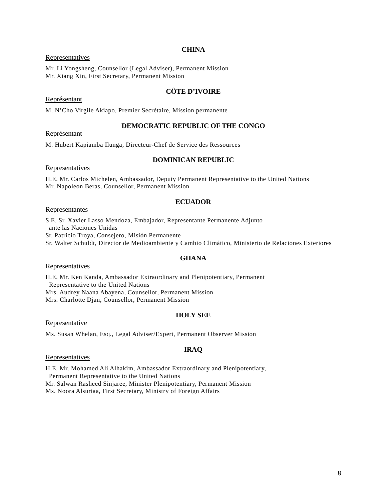### **CHINA**

### **Representatives**

Mr. Li Yongsheng, Counsellor (Legal Adviser), Permanent Mission Mr. Xiang Xin, First Secretary, Permanent Mission

## **CÔTE D'IVOIRE**

### Représentant

M. N'Cho Virgile Akiapo, Premier Secrétaire, Mission permanente

### **DEMOCRATIC REPUBLIC OF THE CONGO**

### Représentant

M. Hubert Kapiamba Ilunga, Directeur-Chef de Service des Ressources

### **DOMINICAN REPUBLIC**

Representatives

H.E. Mr. Carlos Michelen, Ambassador, Deputy Permanent Representative to the United Nations Mr. Napoleon Beras, Counsellor, Permanent Mission

## **ECUADOR**

### Representantes

S.E. Sr. Xavier Lasso Mendoza, Embajador, Representante Permanente Adjunto ante las Naciones Unidas Sr. Patricio Troya, Consejero, Misión Permanente Sr. Walter Schuldt, Director de Medioambiente y Cambio Climático, Ministerio de Relaciones Exteriores

### **GHANA**

### Representatives

H.E. Mr. Ken Kanda, Ambassador Extraordinary and Plenipotentiary, Permanent Representative to the United Nations Mrs. Audrey Naana Abayena, Counsellor, Permanent Mission Mrs. Charlotte Djan, Counsellor, Permanent Mission

### **HOLY SEE**

### **Representative**

Ms. Susan Whelan, Esq., Legal Adviser/Expert, Permanent Observer Mission

## **IRAQ**

### **Representatives**

H.E. Mr. Mohamed Ali Alhakim, Ambassador Extraordinary and Plenipotentiary, Permanent Representative to the United Nations Mr. Salwan Rasheed Sinjaree, Minister Plenipotentiary, Permanent Mission

Ms. Noora Alsuriaa, First Secretary, Ministry of Foreign Affairs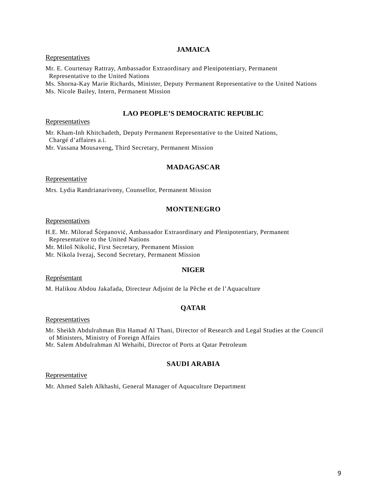### **JAMAICA**

### **Representatives**

Mr. E. Courtenay Rattray, Ambassador Extraordinary and Plenipotentiary, Permanent Representative to the United Nations Ms. Shorna-Kay Marie Richards, Minister, Deputy Permanent Representative to the United Nations

Ms. Nicole Bailey, Intern, Permanent Mission

#### **LAO PEOPLE'S DEMOCRATIC REPUBLIC**

Representatives

Mr. Kham-Inh Khitchadeth, Deputy Permanent Representative to the United Nations, Chargé d'affaires a.i.

Mr. Vassana Mousaveng, Third Secretary, Permanent Mission

### **MADAGASCAR**

**Representative** 

Mrs. Lydia Randrianarivony, Counsellor, Permanent Mission

### **MONTENEGRO**

**Representatives** 

H.E. Mr. Milorad Šćepanović, Ambassador Extraordinary and Plenipotentiary, Permanent Representative to the United Nations Mr. Miloš Nikolić, First Secretary, Permanent Mission

Mr. Nikola Ivezaj, Second Secretary, Permanent Mission

#### **NIGER**

Représentant

M. Halikou Abdou Jakafada, Directeur Adjoint de la Pêche et de l'Aquaculture

## **QATAR**

#### **Representatives**

Mr. Sheikh Abdulrahman Bin Hamad Al Thani, Director of Research and Legal Studies at the Council of Ministers, Ministry of Foreign Affairs

Mr. Salem Abdulrahman Al Wehaibi, Director of Ports at Qatar Petroleum

## **SAUDI ARABIA**

**Representative** 

Mr. Ahmed Saleh Alkhashi, General Manager of Aquaculture Department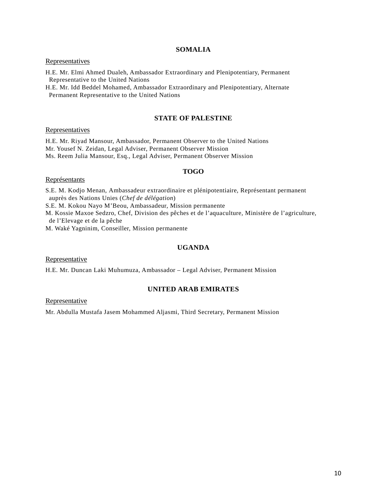### **SOMALIA**

### **Representatives**

H.E. Mr. Elmi Ahmed Dualeh, Ambassador Extraordinary and Plenipotentiary, Permanent Representative to the United Nations

H.E. Mr. Idd Beddel Mohamed, Ambassador Extraordinary and Plenipotentiary, Alternate Permanent Representative to the United Nations

## **STATE OF PALESTINE**

### Representatives

H.E. Mr. Riyad Mansour, Ambassador, Permanent Observer to the United Nations Mr. Yousef N. Zeidan, Legal Adviser, Permanent Observer Mission Ms. Reem Julia Mansour, Esq., Legal Adviser, Permanent Observer Mission

#### **TOGO**

### Représentants

S.E. M. Kodjo Menan, Ambassadeur extraordinaire et plénipotentiaire, Représentant permanent auprès des Nations Unies (*Chef de délégation*)

S.E. M. Kokou Nayo M'Beou, Ambassadeur, Mission permanente

M. Kossie Maxoe Sedzro, Chef, Division des pêches et de l'aquaculture, Ministère de l'agriculture, de l'Elevage et de la pêche

M. Waké Yagninim, Conseiller, Mission permanente

## **UGANDA**

Representative

H.E. Mr. Duncan Laki Muhumuza, Ambassador – Legal Adviser, Permanent Mission

### **UNITED ARAB EMIRATES**

### Representative

Mr. Abdulla Mustafa Jasem Mohammed Aljasmi, Third Secretary, Permanent Mission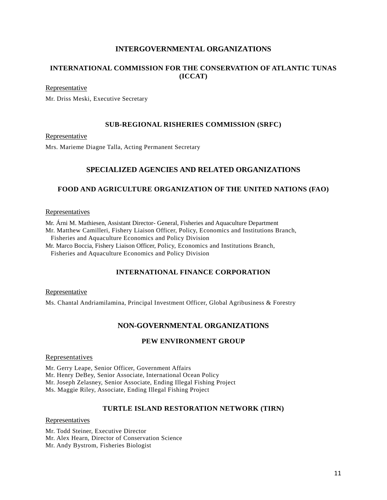# **INTERGOVERNMENTAL ORGANIZATIONS**

# **INTERNATIONAL COMMISSION FOR THE CONSERVATION OF ATLANTIC TUNAS (ICCAT)**

### Representative

Mr. Driss Meski, Executive Secretary

## **SUB-REGIONAL RISHERIES COMMISSION (SRFC)**

Representative

Mrs. Marieme Diagne Talla, Acting Permanent Secretary

# **SPECIALIZED AGENCIES AND RELATED ORGANIZATIONS**

## **FOOD AND AGRICULTURE ORGANIZATION OF THE UNITED NATIONS (FAO)**

### **Representatives**

Mr. Árni M. Mathiesen, Assistant Director- General, Fisheries and Aquaculture Department Mr. Matthew Camilleri, Fishery Liaison Officer, Policy, Economics and Institutions Branch, Fisheries and Aquaculture Economics and Policy Division

Mr. Marco Boccia, Fishery Liaison Officer, Policy, Economics and Institutions Branch,

Fisheries and Aquaculture Economics and Policy Division

## **INTERNATIONAL FINANCE CORPORATION**

Representative

Ms. Chantal Andriamilamina, Principal Investment Officer, Global Agribusiness & Forestry

# **NON-GOVERNMENTAL ORGANIZATIONS**

# **PEW ENVIRONMENT GROUP**

### **Representatives**

Mr. Gerry Leape, Senior Officer, Government Affairs Mr. Henry DeBey, Senior Associate, International Ocean Policy Mr. Joseph Zelasney, Senior Associate, Ending Illegal Fishing Project Ms. Maggie Riley, Associate, Ending Illegal Fishing Project

### **TURTLE ISLAND RESTORATION NETWORK (TIRN)**

### Representatives

Mr. Todd Steiner, Executive Director Mr. Alex Hearn, Director of Conservation Science Mr. Andy Bystrom, Fisheries Biologist